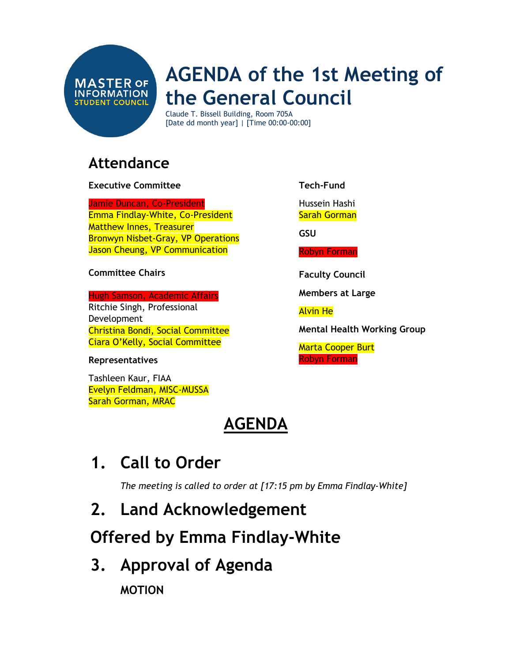

# **AGENDA of the 1st Meeting of the General Council**

Claude T. Bissell Building, Room 705A [Date dd month year] | [Time 00:00-00:00]

### **Attendance**

#### **Executive Committee**

Jamie Duncan, Co-President Emma Findlay-White, Co-President Matthew Innes, Treasurer Bronwyn Nisbet-Gray, VP Operations Jason Cheung, VP Communication

#### **Committee Chairs**

#### Hugh Samson, Academic Affairs

Ritchie Singh, Professional Development Christina Bondi, Social Committee Ciara O'Kelly, Social Committee

#### **Representatives**

Tashleen Kaur, FIAA Evelyn Feldman, MISC-MUSSA Sarah Gorman, MRAC

### **AGENDA**

# **1. Call to Order**

*The meeting is called to order at [17:15 pm by Emma Findlay-White]*

### **2. Land Acknowledgement**

# **Offered by Emma Findlay-White**

**3. Approval of Agenda** 

**MOTION**

**Tech-Fund**

Hussein Hashi Sarah Gorman

**GSU**

Robyn Forman

**Faculty Council**

**Members at Large**

Alvin He

**Mental Health Working Group**

Marta Cooper Burt Robyn Forman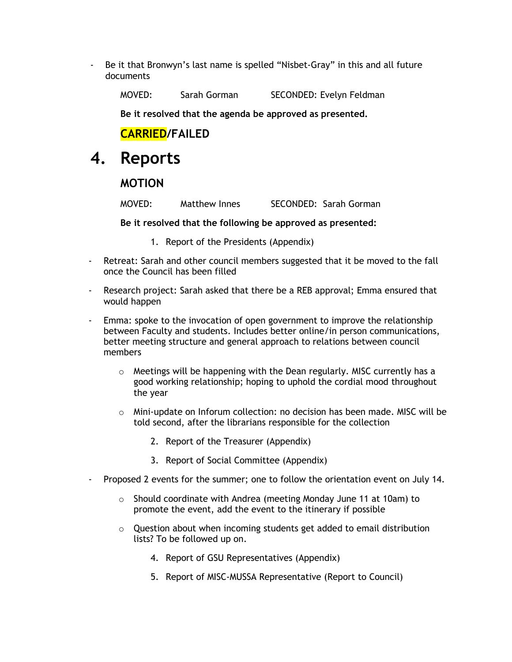- Be it that Bronwyn's last name is spelled "Nisbet-Gray" in this and all future documents

MOVED: Sarah Gorman SECONDED: Evelyn Feldman

**Be it resolved that the agenda be approved as presented.**

### **CARRIED/FAILED**

### **4. Reports**

#### **MOTION**

MOVED: Matthew Innes SECONDED: Sarah Gorman

**Be it resolved that the following be approved as presented:** 

- 1. Report of the Presidents (Appendix)
- Retreat: Sarah and other council members suggested that it be moved to the fall once the Council has been filled
- Research project: Sarah asked that there be a REB approval; Emma ensured that would happen
- Emma: spoke to the invocation of open government to improve the relationship between Faculty and students. Includes better online/in person communications, better meeting structure and general approach to relations between council members
	- $\circ$  Meetings will be happening with the Dean regularly. MISC currently has a good working relationship; hoping to uphold the cordial mood throughout the year
	- $\circ$  Mini-update on Inforum collection: no decision has been made. MISC will be told second, after the librarians responsible for the collection
		- 2. Report of the Treasurer (Appendix)
		- 3. Report of Social Committee (Appendix)
- Proposed 2 events for the summer; one to follow the orientation event on July 14.
	- $\circ$  Should coordinate with Andrea (meeting Monday June 11 at 10am) to promote the event, add the event to the itinerary if possible
	- o Question about when incoming students get added to email distribution lists? To be followed up on.
		- 4. Report of GSU Representatives (Appendix)
		- 5. Report of MISC-MUSSA Representative (Report to Council)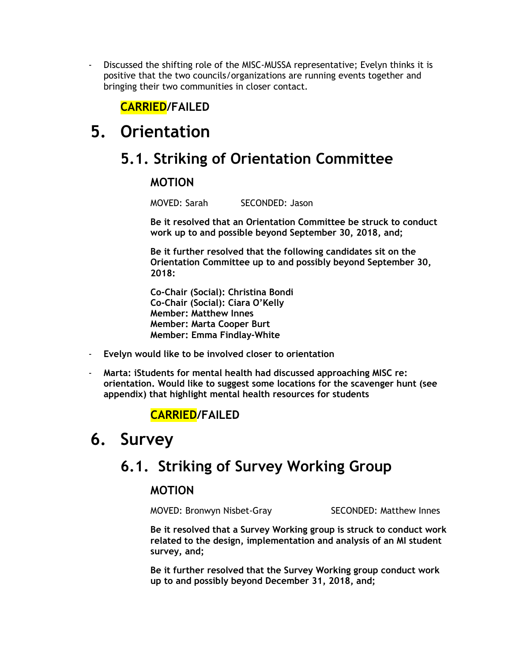- Discussed the shifting role of the MISC-MUSSA representative; Evelyn thinks it is positive that the two councils/organizations are running events together and bringing their two communities in closer contact.

### **CARRIED/FAILED**

# **5. Orientation**

### **5.1. Striking of Orientation Committee**

### **MOTION**

MOVED: Sarah SECONDED: Jason

**Be it resolved that an Orientation Committee be struck to conduct work up to and possible beyond September 30, 2018, and;** 

**Be it further resolved that the following candidates sit on the Orientation Committee up to and possibly beyond September 30, 2018:**

**Co-Chair (Social): Christina Bondi Co-Chair (Social): Ciara O'Kelly Member: Matthew Innes Member: Marta Cooper Burt Member: Emma Findlay-White**

- **Evelyn would like to be involved closer to orientation**
- **Marta: iStudents for mental health had discussed approaching MISC re: orientation. Would like to suggest some locations for the scavenger hunt (see appendix) that highlight mental health resources for students**

### **CARRIED/FAILED**

# **6. Survey**

### **6.1. Striking of Survey Working Group**

#### **MOTION**

MOVED: Bronwyn Nisbet-Gray SECONDED: Matthew Innes

**Be it resolved that a Survey Working group is struck to conduct work related to the design, implementation and analysis of an MI student survey, and;**

**Be it further resolved that the Survey Working group conduct work up to and possibly beyond December 31, 2018, and;**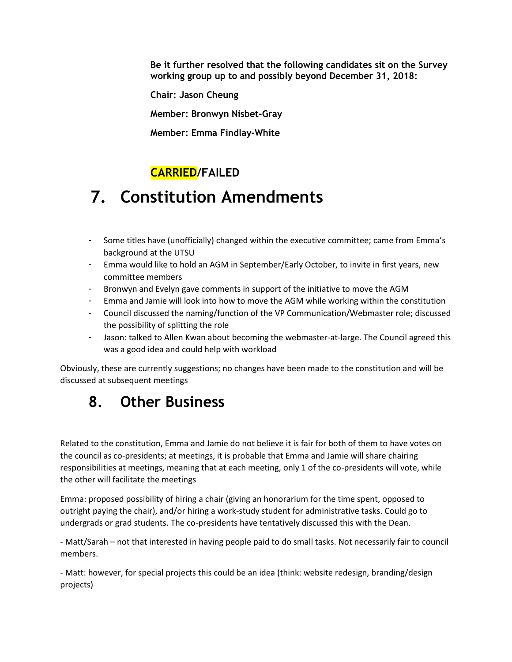**Be it further resolved that the following candidates sit on the Survey working group up to and possibly beyond December 31, 2018:** 

**Chair: Jason Cheung**

**Member: Bronwyn Nisbet-Gray**

**Member: Emma Findlay-White**

### **CARRIED/FAILED**

# **7. Constitution Amendments**

- Some titles have (unofficially) changed within the executive committee; came from Emma's background at the UTSU
- Emma would like to hold an AGM in September/Early October, to invite in first years, new committee members
- Bronwyn and Evelyn gave comments in support of the initiative to move the AGM
- Emma and Jamie will look into how to move the AGM while working within the constitution
- Council discussed the naming/function of the VP Communication/Webmaster role; discussed the possibility of splitting the role
- Jason: talked to Allen Kwan about becoming the webmaster-at-large. The Council agreed this was a good idea and could help with workload

Obviously, these are currently suggestions; no changes have been made to the constitution and will be discussed at subsequent meetings

# **8. Other Business**

Related to the constitution, Emma and Jamie do not believe it is fair for both of them to have votes on the council as co-presidents; at meetings, it is probable that Emma and Jamie will share chairing responsibilities at meetings, meaning that at each meeting, only 1 of the co-presidents will vote, while the other will facilitate the meetings

Emma: proposed possibility of hiring a chair (giving an honorarium for the time spent, opposed to outright paying the chair), and/or hiring a work-study student for administrative tasks. Could go to undergrads or grad students. The co-presidents have tentatively discussed this with the Dean.

- Matt/Sarah – not that interested in having people paid to do small tasks. Not necessarily fair to council members.

- Matt: however, for special projects this could be an idea (think: website redesign, branding/design projects)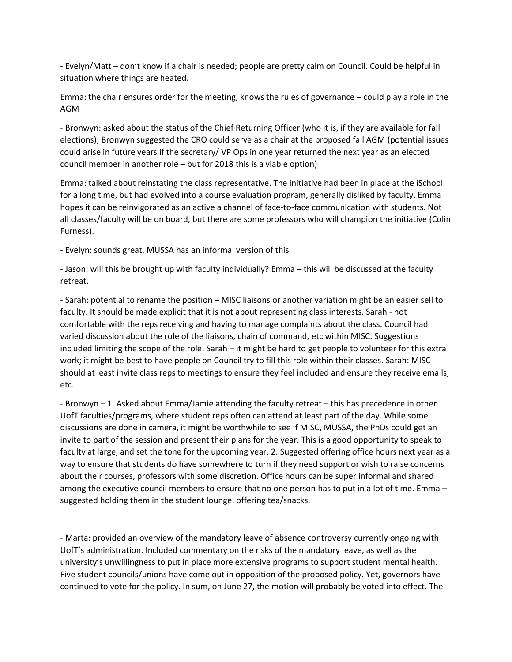- Evelyn/Matt – don't know if a chair is needed; people are pretty calm on Council. Could be helpful in situation where things are heated.

Emma: the chair ensures order for the meeting, knows the rules of governance – could play a role in the AGM

- Bronwyn: asked about the status of the Chief Returning Officer (who it is, if they are available for fall elections); Bronwyn suggested the CRO could serve as a chair at the proposed fall AGM (potential issues could arise in future years if the secretary/ VP Ops in one year returned the next year as an elected council member in another role – but for 2018 this is a viable option)

Emma: talked about reinstating the class representative. The initiative had been in place at the iSchool for a long time, but had evolved into a course evaluation program, generally disliked by faculty. Emma hopes it can be reinvigorated as an active a channel of face-to-face communication with students. Not all classes/faculty will be on board, but there are some professors who will champion the initiative (Colin Furness).

- Evelyn: sounds great. MUSSA has an informal version of this

- Jason: will this be brought up with faculty individually? Emma – this will be discussed at the faculty retreat.

- Sarah: potential to rename the position – MISC liaisons or another variation might be an easier sell to faculty. It should be made explicit that it is not about representing class interests. Sarah - not comfortable with the reps receiving and having to manage complaints about the class. Council had varied discussion about the role of the liaisons, chain of command, etc within MISC. Suggestions included limiting the scope of the role. Sarah – it might be hard to get people to volunteer for this extra work; it might be best to have people on Council try to fill this role within their classes. Sarah: MISC should at least invite class reps to meetings to ensure they feel included and ensure they receive emails, etc.

- Bronwyn – 1. Asked about Emma/Jamie attending the faculty retreat – this has precedence in other UofT faculties/programs, where student reps often can attend at least part of the day. While some discussions are done in camera, it might be worthwhile to see if MISC, MUSSA, the PhDs could get an invite to part of the session and present their plans for the year. This is a good opportunity to speak to faculty at large, and set the tone for the upcoming year. 2. Suggested offering office hours next year as a way to ensure that students do have somewhere to turn if they need support or wish to raise concerns about their courses, professors with some discretion. Office hours can be super informal and shared among the executive council members to ensure that no one person has to put in a lot of time. Emma – suggested holding them in the student lounge, offering tea/snacks.

- Marta: provided an overview of the mandatory leave of absence controversy currently ongoing with UofT's administration. Included commentary on the risks of the mandatory leave, as well as the university's unwillingness to put in place more extensive programs to support student mental health. Five student councils/unions have come out in opposition of the proposed policy. Yet, governors have continued to vote for the policy. In sum, on June 27, the motion will probably be voted into effect. The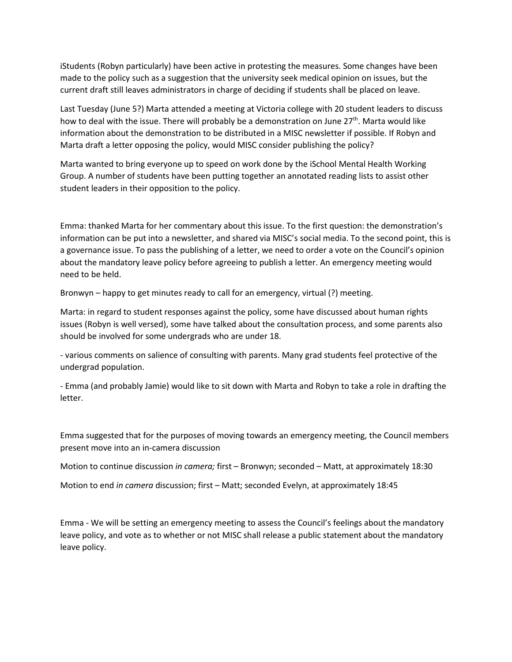iStudents (Robyn particularly) have been active in protesting the measures. Some changes have been made to the policy such as a suggestion that the university seek medical opinion on issues, but the current draft still leaves administrators in charge of deciding if students shall be placed on leave.

Last Tuesday (June 5?) Marta attended a meeting at Victoria college with 20 student leaders to discuss how to deal with the issue. There will probably be a demonstration on June 27<sup>th</sup>. Marta would like information about the demonstration to be distributed in a MISC newsletter if possible. If Robyn and Marta draft a letter opposing the policy, would MISC consider publishing the policy?

Marta wanted to bring everyone up to speed on work done by the iSchool Mental Health Working Group. A number of students have been putting together an annotated reading lists to assist other student leaders in their opposition to the policy.

Emma: thanked Marta for her commentary about this issue. To the first question: the demonstration's information can be put into a newsletter, and shared via MISC's social media. To the second point, this is a governance issue. To pass the publishing of a letter, we need to order a vote on the Council's opinion about the mandatory leave policy before agreeing to publish a letter. An emergency meeting would need to be held.

Bronwyn – happy to get minutes ready to call for an emergency, virtual (?) meeting.

Marta: in regard to student responses against the policy, some have discussed about human rights issues (Robyn is well versed), some have talked about the consultation process, and some parents also should be involved for some undergrads who are under 18.

- various comments on salience of consulting with parents. Many grad students feel protective of the undergrad population.

- Emma (and probably Jamie) would like to sit down with Marta and Robyn to take a role in drafting the letter.

Emma suggested that for the purposes of moving towards an emergency meeting, the Council members present move into an in-camera discussion

Motion to continue discussion *in camera;* first – Bronwyn; seconded – Matt, at approximately 18:30

Motion to end *in camera* discussion; first – Matt; seconded Evelyn, at approximately 18:45

Emma - We will be setting an emergency meeting to assess the Council's feelings about the mandatory leave policy, and vote as to whether or not MISC shall release a public statement about the mandatory leave policy.